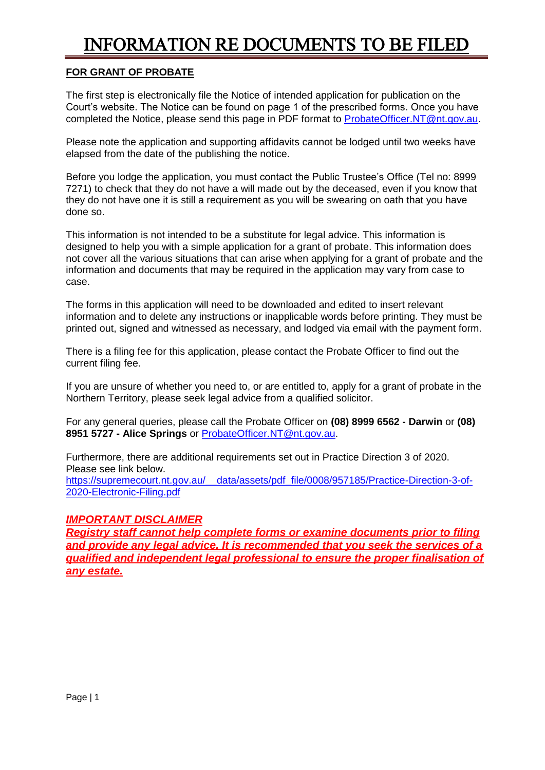# INFORMATION RE DOCUMENTS TO BE FILED

# **FOR GRANT OF PROBATE**

The first step is electronically file the Notice of intended application for publication on the Court's website. The Notice can be found on page 1 of the prescribed forms. Once you have completed the Notice, please send this page in PDF format to [ProbateOfficer.NT@nt.gov.au.](mailto:ProbateOfficer.NT@nt.gov.au)

Please note the application and supporting affidavits cannot be lodged until two weeks have elapsed from the date of the publishing the notice.

Before you lodge the application, you must contact the Public Trustee's Office (Tel no: 8999 7271) to check that they do not have a will made out by the deceased, even if you know that they do not have one it is still a requirement as you will be swearing on oath that you have done so.

This information is not intended to be a substitute for legal advice. This information is designed to help you with a simple application for a grant of probate. This information does not cover all the various situations that can arise when applying for a grant of probate and the information and documents that may be required in the application may vary from case to case.

The forms in this application will need to be downloaded and edited to insert relevant information and to delete any instructions or inapplicable words before printing. They must be printed out, signed and witnessed as necessary, and lodged via email with the payment form.

There is a filing fee for this application, please contact the Probate Officer to find out the current filing fee.

If you are unsure of whether you need to, or are entitled to, apply for a grant of probate in the Northern Territory, please seek legal advice from a qualified solicitor.

For any general queries, please call the Probate Officer on **(08) 8999 6562 - Darwin** or **(08) 8951 5727 - Alice Springs** or [ProbateOfficer.NT@nt.gov.au.](mailto:ProbateOfficer.NT@nt.gov.au)

Furthermore, there are additional requirements set out in Practice Direction 3 of 2020. Please see link below.

[https://supremecourt.nt.gov.au/\\_\\_data/assets/pdf\\_file/0008/957185/Practice-Direction-3-of-](https://supremecourt.nt.gov.au/__data/assets/pdf_file/0008/957185/Practice-Direction-3-of-2020-Electronic-Filing.pdf)[2020-Electronic-Filing.pdf](https://supremecourt.nt.gov.au/__data/assets/pdf_file/0008/957185/Practice-Direction-3-of-2020-Electronic-Filing.pdf)

# *IMPORTANT DISCLAIMER*

*Registry staff cannot help complete forms or examine documents prior to filing and provide any legal advice. It is recommended that you seek the services of a qualified and independent legal professional to ensure the proper finalisation of any estate.*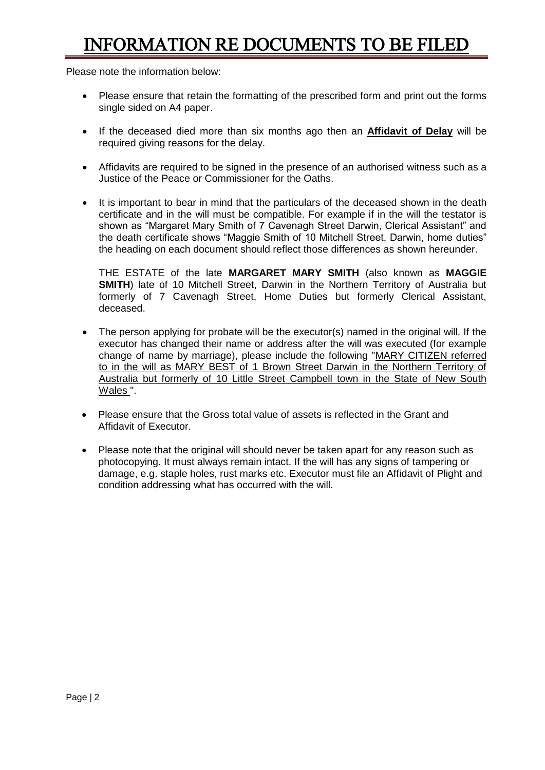# INFORMATION RE DOCUMENTS TO BE FILED

Please note the information below:

- Please ensure that retain the formatting of the prescribed form and print out the forms single sided on A4 paper.
- If the deceased died more than six months ago then an **Affidavit of Delay** will be required giving reasons for the delay.
- Affidavits are required to be signed in the presence of an authorised witness such as a Justice of the Peace or Commissioner for the Oaths.
- It is important to bear in mind that the particulars of the deceased shown in the death certificate and in the will must be compatible. For example if in the will the testator is shown as "Margaret Mary Smith of 7 Cavenagh Street Darwin, Clerical Assistant" and the death certificate shows "Maggie Smith of 10 Mitchell Street, Darwin, home duties" the heading on each document should reflect those differences as shown hereunder.

THE ESTATE of the late **MARGARET MARY SMITH** (also known as **MAGGIE SMITH**) late of 10 Mitchell Street, Darwin in the Northern Territory of Australia but formerly of 7 Cavenagh Street, Home Duties but formerly Clerical Assistant, deceased.

- The person applying for probate will be the executor(s) named in the original will. If the executor has changed their name or address after the will was executed (for example change of name by marriage), please include the following "MARY CITIZEN referred to in the will as MARY BEST of 1 Brown Street Darwin in the Northern Territory of Australia but formerly of 10 Little Street Campbell town in the State of New South Wales ".
- Please ensure that the Gross total value of assets is reflected in the Grant and Affidavit of Executor.
- Please note that the original will should never be taken apart for any reason such as photocopying. It must always remain intact. If the will has any signs of tampering or damage, e.g. staple holes, rust marks etc. Executor must file an Affidavit of Plight and condition addressing what has occurred with the will.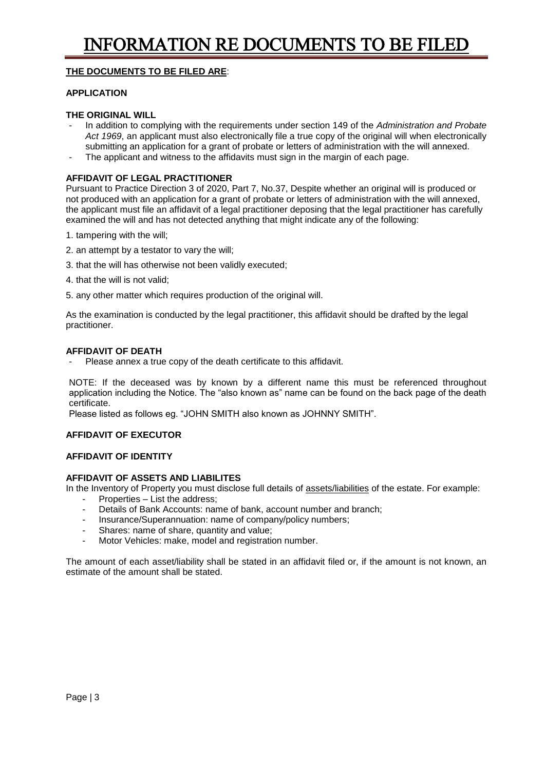# **THE DOCUMENTS TO BE FILED ARE**:

#### **APPLICATION**

## **THE ORIGINAL WILL**

- In addition to complying with the requirements under section 149 of the *Administration and Probate Act 1969*, an applicant must also electronically file a true copy of the original will when electronically submitting an application for a grant of probate or letters of administration with the will annexed.
- The applicant and witness to the affidavits must sign in the margin of each page.

#### **AFFIDAVIT OF LEGAL PRACTITIONER**

Pursuant to Practice Direction 3 of 2020, Part 7, No.37, Despite whether an original will is produced or not produced with an application for a grant of probate or letters of administration with the will annexed, the applicant must file an affidavit of a legal practitioner deposing that the legal practitioner has carefully examined the will and has not detected anything that might indicate any of the following:

- 1. tampering with the will;
- 2. an attempt by a testator to vary the will;
- 3. that the will has otherwise not been validly executed;
- 4. that the will is not valid;
- 5. any other matter which requires production of the original will.

As the examination is conducted by the legal practitioner, this affidavit should be drafted by the legal practitioner.

#### **AFFIDAVIT OF DEATH**

Please annex a true copy of the death certificate to this affidavit.

NOTE: If the deceased was by known by a different name this must be referenced throughout application including the Notice. The "also known as" name can be found on the back page of the death certificate.

Please listed as follows eg. "JOHN SMITH also known as JOHNNY SMITH".

## **AFFIDAVIT OF EXECUTOR**

## **AFFIDAVIT OF IDENTITY**

## **AFFIDAVIT OF ASSETS AND LIABILITES**

In the Inventory of Property you must disclose full details of assets/liabilities of the estate. For example:

- Properties List the address;
- Details of Bank Accounts: name of bank, account number and branch;
- Insurance/Superannuation: name of company/policy numbers;
- Shares: name of share, quantity and value;
- Motor Vehicles: make, model and registration number.

The amount of each asset/liability shall be stated in an affidavit filed or, if the amount is not known, an estimate of the amount shall be stated.